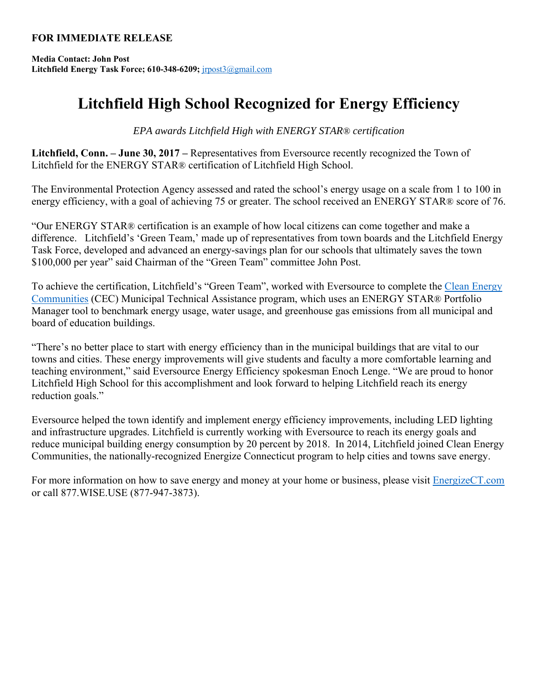## **FOR IMMEDIATE RELEASE**

**Media Contact: John Post Litchfield Energy Task Force; 610-348-6209;** jrpost3@gmail.com

## **Litchfield High School Recognized for Energy Efficiency**

*EPA awards Litchfield High with ENERGY STAR® certification* 

**Litchfield, Conn. – June 30, 2017 –** Representatives from Eversource recently recognized the Town of Litchfield for the ENERGY STAR® certification of Litchfield High School.

The Environmental Protection Agency assessed and rated the school's energy usage on a scale from 1 to 100 in energy efficiency, with a goal of achieving 75 or greater. The school received an ENERGY STAR® score of 76.

"Our ENERGY STAR® certification is an example of how local citizens can come together and make a difference. Litchfield's 'Green Team,' made up of representatives from town boards and the Litchfield Energy Task Force, developed and advanced an energy-savings plan for our schools that ultimately saves the town \$100,000 per year" said Chairman of the "Green Team" committee John Post.

To achieve the certification, Litchfield's "Green Team", worked with Eversource to complete the Clean Energy Communities (CEC) Municipal Technical Assistance program, which uses an ENERGY STAR® Portfolio Manager tool to benchmark energy usage, water usage, and greenhouse gas emissions from all municipal and board of education buildings.

"There's no better place to start with energy efficiency than in the municipal buildings that are vital to our towns and cities. These energy improvements will give students and faculty a more comfortable learning and teaching environment," said Eversource Energy Efficiency spokesman Enoch Lenge. "We are proud to honor Litchfield High School for this accomplishment and look forward to helping Litchfield reach its energy reduction goals."

Eversource helped the town identify and implement energy efficiency improvements, including LED lighting and infrastructure upgrades. Litchfield is currently working with Eversource to reach its energy goals and reduce municipal building energy consumption by 20 percent by 2018. In 2014, Litchfield joined Clean Energy Communities, the nationally-recognized Energize Connecticut program to help cities and towns save energy.

For more information on how to save energy and money at your home or business, please visit EnergizeCT.com or call 877.WISE.USE (877-947-3873).